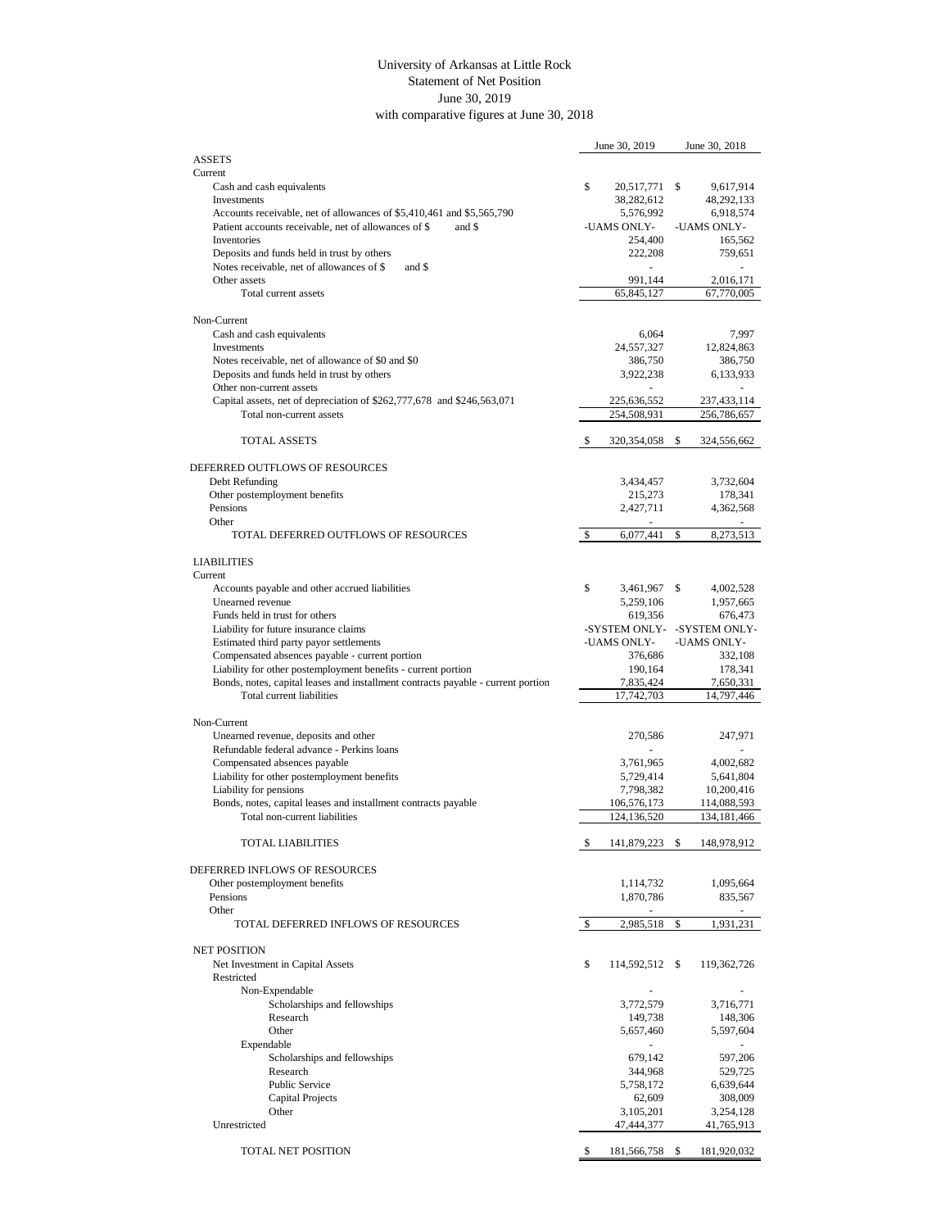## with comparative figures at June 30, 2018 University of Arkansas at Little Rock Statement of Net Position June 30, 2019

|                                                                                                   | June 30, 2019            | June 30, 2018               |  |
|---------------------------------------------------------------------------------------------------|--------------------------|-----------------------------|--|
| <b>ASSETS</b>                                                                                     |                          |                             |  |
| Current                                                                                           |                          |                             |  |
| Cash and cash equivalents                                                                         | \$<br>20,517,771         | -S<br>9,617,914             |  |
| Investments                                                                                       | 38,282,612               | 48,292,133                  |  |
| Accounts receivable, net of allowances of \$5,410,461 and \$5,565,790                             | 5,576,992                | 6,918,574                   |  |
| Patient accounts receivable, net of allowances of \$<br>and \$<br><b>Inventories</b>              | -UAMS ONLY-<br>254,400   | -UAMS ONLY-                 |  |
|                                                                                                   | 222,208                  | 165,562                     |  |
| Deposits and funds held in trust by others<br>Notes receivable, net of allowances of \$<br>and \$ |                          | 759,651                     |  |
| Other assets                                                                                      | 991,144                  | 2,016,171                   |  |
| Total current assets                                                                              | 65,845,127               | 67,770,005                  |  |
|                                                                                                   |                          |                             |  |
| Non-Current                                                                                       |                          |                             |  |
| Cash and cash equivalents                                                                         | 6,064                    | 7,997                       |  |
| Investments                                                                                       | 24,557,327               | 12,824,863                  |  |
| Notes receivable, net of allowance of \$0 and \$0                                                 | 386,750                  | 386,750                     |  |
| Deposits and funds held in trust by others                                                        | 3,922,238                | 6,133,933                   |  |
| Other non-current assets                                                                          |                          |                             |  |
| Capital assets, net of depreciation of \$262,777,678 and \$246,563,071                            | 225,636,552              | 237,433,114                 |  |
| Total non-current assets                                                                          | 254,508,931              | 256,786,657                 |  |
|                                                                                                   |                          |                             |  |
| <b>TOTAL ASSETS</b>                                                                               | \$<br>320, 354, 058 \$   | 324,556,662                 |  |
|                                                                                                   |                          |                             |  |
| DEFERRED OUTFLOWS OF RESOURCES                                                                    |                          |                             |  |
| Debt Refunding                                                                                    | 3,434,457                | 3,732,604                   |  |
| Other postemployment benefits                                                                     | 215,273                  | 178,341                     |  |
| Pensions                                                                                          | 2,427,711                | 4,362,568                   |  |
| Other<br>TOTAL DEFERRED OUTFLOWS OF RESOURCES                                                     | $\sim$                   | 8,273,513                   |  |
|                                                                                                   | \$<br>6,077,441          | \$                          |  |
| <b>LIABILITIES</b>                                                                                |                          |                             |  |
| Current                                                                                           |                          |                             |  |
| Accounts payable and other accrued liabilities                                                    | \$<br>3,461,967 \$       | 4,002,528                   |  |
| Unearned revenue                                                                                  | 5,259,106                | 1,957,665                   |  |
| Funds held in trust for others                                                                    | 619,356                  | 676,473                     |  |
| Liability for future insurance claims                                                             |                          | -SYSTEM ONLY- -SYSTEM ONLY- |  |
| Estimated third party payor settlements                                                           | -UAMS ONLY-              | -UAMS ONLY-                 |  |
| Compensated absences payable - current portion                                                    | 376,686                  | 332,108                     |  |
| Liability for other postemployment benefits - current portion                                     | 190,164                  | 178,341                     |  |
| Bonds, notes, capital leases and installment contracts payable - current portion                  | 7,835,424                | 7,650,331                   |  |
| Total current liabilities                                                                         | 17,742,703               | 14,797,446                  |  |
|                                                                                                   |                          |                             |  |
| Non-Current                                                                                       |                          |                             |  |
| Unearned revenue, deposits and other                                                              | 270,586                  | 247,971                     |  |
| Refundable federal advance - Perkins loans                                                        |                          |                             |  |
| Compensated absences payable                                                                      | 3,761,965                | 4,002,682                   |  |
| Liability for other postemployment benefits                                                       | 5,729,414                | 5,641,804                   |  |
| Liability for pensions                                                                            | 7,798,382                | 10,200,416                  |  |
| Bonds, notes, capital leases and installment contracts payable                                    | 106,576,173              | 114,088,593                 |  |
| Total non-current liabilities                                                                     | 124,136,520              | 134, 181, 466               |  |
| <b>TOTAL LIABILITIES</b>                                                                          |                          |                             |  |
|                                                                                                   | \$<br>141,879,223        | \$<br>148,978,912           |  |
| DEFERRED INFLOWS OF RESOURCES                                                                     |                          |                             |  |
| Other postemployment benefits                                                                     | 1,114,732                | 1,095,664                   |  |
| Pensions                                                                                          | 1,870,786                | 835,567                     |  |
| Other                                                                                             |                          |                             |  |
| TOTAL DEFERRED INFLOWS OF RESOURCES                                                               | \$<br>2,985,518          | \$<br>1,931,231             |  |
|                                                                                                   |                          |                             |  |
| <b>NET POSITION</b>                                                                               |                          |                             |  |
| Net Investment in Capital Assets                                                                  | \$<br>114,592,512 \$     | 119,362,726                 |  |
| Restricted                                                                                        |                          |                             |  |
| Non-Expendable                                                                                    |                          |                             |  |
| Scholarships and fellowships                                                                      | 3,772,579                | 3,716,771                   |  |
| Research                                                                                          | 149,738                  | 148,306                     |  |
| Other                                                                                             | 5,657,460                | 5,597,604                   |  |
| Expendable                                                                                        | $\overline{\phantom{a}}$ |                             |  |
| Scholarships and fellowships                                                                      | 679,142                  | 597,206                     |  |
| Research                                                                                          | 344,968                  | 529,725                     |  |
| Public Service                                                                                    | 5,758,172                | 6,639,644                   |  |
| Capital Projects                                                                                  | 62,609                   | 308,009                     |  |
| Other                                                                                             | 3,105,201                | 3,254,128                   |  |
| Unrestricted                                                                                      | 47,444,377               | 41,765,913                  |  |
|                                                                                                   |                          |                             |  |
| TOTAL NET POSITION                                                                                | 181,566,758 \$<br>\$     | 181,920,032                 |  |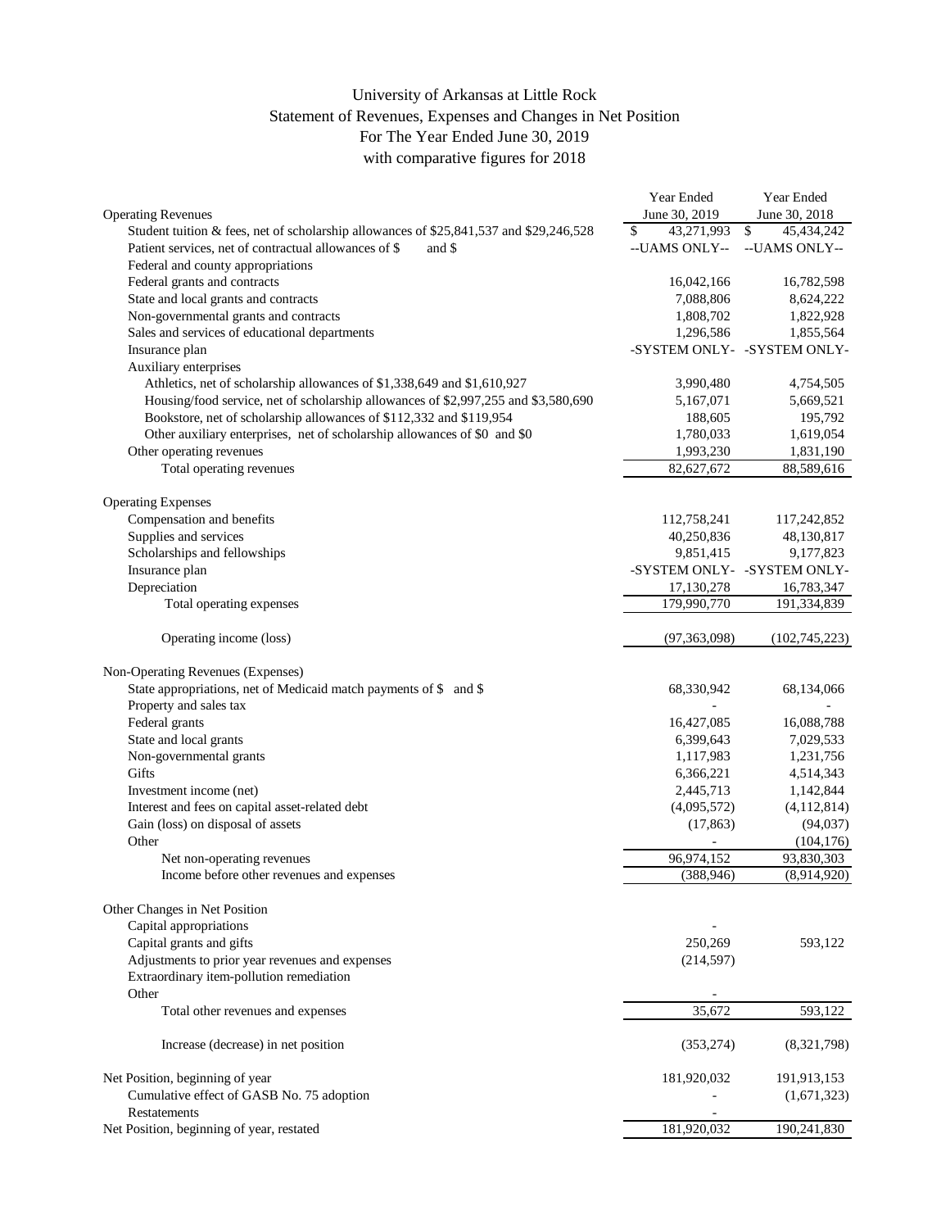## with comparative figures for 2018 University of Arkansas at Little Rock Statement of Revenues, Expenses and Changes in Net Position For The Year Ended June 30, 2019

|                                                                                        | Year Ended               | Year Ended                  |
|----------------------------------------------------------------------------------------|--------------------------|-----------------------------|
| <b>Operating Revenues</b>                                                              | June 30, 2019            | June 30, 2018               |
| Student tuition & fees, net of scholarship allowances of \$25,841,537 and \$29,246,528 | \$<br>43,271,993         | $\mathbb{S}$<br>45,434,242  |
| Patient services, net of contractual allowances of \$<br>and \$                        | --UAMS ONLY--            | --UAMS ONLY--               |
| Federal and county appropriations                                                      |                          |                             |
| Federal grants and contracts                                                           | 16,042,166               | 16,782,598                  |
| State and local grants and contracts                                                   | 7,088,806                | 8,624,222                   |
| Non-governmental grants and contracts                                                  | 1,808,702                | 1,822,928                   |
| Sales and services of educational departments                                          | 1,296,586                | 1,855,564                   |
| Insurance plan                                                                         |                          | -SYSTEM ONLY- -SYSTEM ONLY- |
| Auxiliary enterprises                                                                  |                          |                             |
| Athletics, net of scholarship allowances of \$1,338,649 and \$1,610,927                | 3,990,480                | 4,754,505                   |
| Housing/food service, net of scholarship allowances of \$2,997,255 and \$3,580,690     | 5,167,071                | 5,669,521                   |
| Bookstore, net of scholarship allowances of \$112,332 and \$119,954                    | 188,605                  | 195,792                     |
| Other auxiliary enterprises, net of scholarship allowances of \$0 and \$0              | 1,780,033                | 1,619,054                   |
| Other operating revenues                                                               | 1,993,230                | 1,831,190                   |
| Total operating revenues                                                               | 82,627,672               | 88,589,616                  |
|                                                                                        |                          |                             |
| <b>Operating Expenses</b>                                                              |                          |                             |
| Compensation and benefits                                                              | 112,758,241              | 117,242,852                 |
| Supplies and services                                                                  | 40,250,836               | 48,130,817                  |
| Scholarships and fellowships                                                           | 9,851,415                | 9,177,823                   |
| Insurance plan                                                                         |                          | -SYSTEM ONLY- -SYSTEM ONLY- |
| Depreciation                                                                           | 17,130,278               | 16,783,347                  |
| Total operating expenses                                                               | 179,990,770              | 191,334,839                 |
|                                                                                        |                          |                             |
| Operating income (loss)                                                                | (97, 363, 098)           | (102, 745, 223)             |
| Non-Operating Revenues (Expenses)                                                      |                          |                             |
| State appropriations, net of Medicaid match payments of \$ and \$                      | 68,330,942               | 68,134,066                  |
| Property and sales tax                                                                 |                          |                             |
| Federal grants                                                                         | 16,427,085               | 16,088,788                  |
| State and local grants                                                                 | 6,399,643                | 7,029,533                   |
| Non-governmental grants                                                                | 1,117,983                | 1,231,756                   |
| Gifts                                                                                  | 6,366,221                | 4,514,343                   |
| Investment income (net)                                                                | 2,445,713                | 1,142,844                   |
| Interest and fees on capital asset-related debt                                        | (4,095,572)              | (4,112,814)                 |
| Gain (loss) on disposal of assets                                                      | (17, 863)                | (94, 037)                   |
| Other                                                                                  | $\overline{\phantom{a}}$ | (104, 176)                  |
| Net non-operating revenues                                                             | 96,974,152               | 93,830,303                  |
| Income before other revenues and expenses                                              | (388, 946)               | (8,914,920)                 |
|                                                                                        |                          |                             |
| Other Changes in Net Position                                                          |                          |                             |
| Capital appropriations                                                                 |                          |                             |
| Capital grants and gifts                                                               | 250,269                  | 593,122                     |
| Adjustments to prior year revenues and expenses                                        | (214, 597)               |                             |
| Extraordinary item-pollution remediation                                               |                          |                             |
| Other                                                                                  |                          |                             |
| Total other revenues and expenses                                                      | 35,672                   | 593,122                     |
|                                                                                        |                          |                             |
| Increase (decrease) in net position                                                    | (353, 274)               | (8,321,798)                 |
| Net Position, beginning of year                                                        | 181,920,032              | 191,913,153                 |
| Cumulative effect of GASB No. 75 adoption                                              |                          | (1,671,323)                 |
| <b>Restatements</b>                                                                    |                          |                             |
| Net Position, beginning of year, restated                                              | 181,920,032              | 190,241,830                 |
|                                                                                        |                          |                             |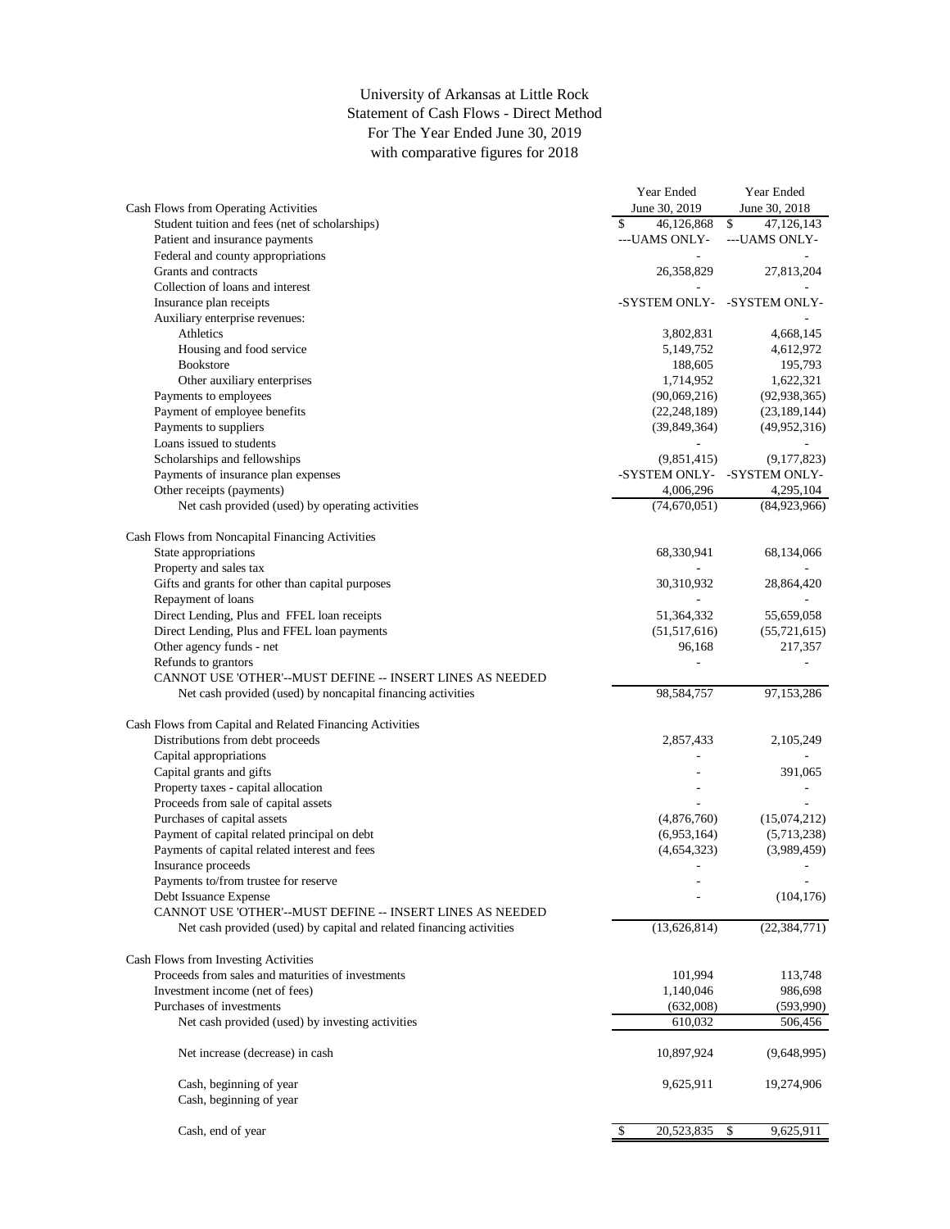## For The Year Ended June 30, 2019 Statement of Cash Flows - Direct Method University of Arkansas at Little Rock with comparative figures for 2018

|                                                                      | Year Ended                  | Year Ended               |
|----------------------------------------------------------------------|-----------------------------|--------------------------|
| Cash Flows from Operating Activities                                 | June 30, 2019               | June 30, 2018            |
| Student tuition and fees (net of scholarships)                       | 46,126,868<br>\$            | \$<br>47,126,143         |
| Patient and insurance payments                                       | ---UAMS ONLY-               | ---UAMS ONLY-            |
| Federal and county appropriations                                    | $\sim$                      |                          |
| Grants and contracts                                                 | 26,358,829                  | 27,813,204               |
| Collection of loans and interest                                     |                             |                          |
| Insurance plan receipts                                              | -SYSTEM ONLY- -SYSTEM ONLY- |                          |
| Auxiliary enterprise revenues:                                       |                             |                          |
| Athletics                                                            | 3,802,831                   | 4,668,145                |
| Housing and food service                                             | 5,149,752                   | 4,612,972                |
| <b>Bookstore</b>                                                     | 188,605                     | 195,793                  |
| Other auxiliary enterprises                                          | 1,714,952                   | 1,622,321                |
|                                                                      |                             |                          |
| Payments to employees                                                | (90,069,216)                | (92, 938, 365)           |
| Payment of employee benefits                                         | (22, 248, 189)              | (23, 189, 144)           |
| Payments to suppliers                                                | (39, 849, 364)              | (49,952,316)             |
| Loans issued to students                                             | ÷,                          |                          |
| Scholarships and fellowships                                         | (9,851,415)                 | (9,177,823)              |
| Payments of insurance plan expenses                                  | -SYSTEM ONLY- -SYSTEM ONLY- |                          |
| Other receipts (payments)                                            | 4,006,296                   | 4,295,104                |
| Net cash provided (used) by operating activities                     | (74,670,051)                | (84,923,966)             |
|                                                                      |                             |                          |
| Cash Flows from Noncapital Financing Activities                      |                             |                          |
| State appropriations                                                 | 68,330,941                  | 68,134,066               |
| Property and sales tax                                               |                             |                          |
| Gifts and grants for other than capital purposes                     | 30,310,932                  | 28,864,420               |
| Repayment of loans                                                   |                             |                          |
| Direct Lending, Plus and FFEL loan receipts                          | 51,364,332                  | 55,659,058               |
| Direct Lending, Plus and FFEL loan payments                          | (51, 517, 616)              | (55, 721, 615)           |
| Other agency funds - net                                             | 96,168                      | 217,357                  |
| Refunds to grantors                                                  |                             |                          |
|                                                                      |                             |                          |
| CANNOT USE 'OTHER'--MUST DEFINE -- INSERT LINES AS NEEDED            |                             |                          |
| Net cash provided (used) by noncapital financing activities          | 98,584,757                  | 97,153,286               |
|                                                                      |                             |                          |
| Cash Flows from Capital and Related Financing Activities             |                             |                          |
| Distributions from debt proceeds                                     | 2,857,433                   | 2,105,249                |
| Capital appropriations                                               |                             |                          |
| Capital grants and gifts                                             |                             | 391,065                  |
| Property taxes - capital allocation                                  |                             |                          |
| Proceeds from sale of capital assets                                 |                             |                          |
| Purchases of capital assets                                          | (4,876,760)                 | (15,074,212)             |
| Payment of capital related principal on debt                         | (6,953,164)                 | (5,713,238)              |
| Payments of capital related interest and fees                        | (4,654,323)                 | (3,989,459)              |
| Insurance proceeds                                                   | ÷,                          | $\overline{\phantom{a}}$ |
| Payments to/from trustee for reserve                                 |                             |                          |
| Debt Issuance Expense                                                |                             | (104, 176)               |
| CANNOT USE 'OTHER'--MUST DEFINE -- INSERT LINES AS NEEDED            |                             |                          |
| Net cash provided (used) by capital and related financing activities | (13,626,814)                | (22, 384, 771)           |
|                                                                      |                             |                          |
| Cash Flows from Investing Activities                                 |                             |                          |
| Proceeds from sales and maturities of investments                    |                             |                          |
| Investment income (net of fees)                                      | 101,994                     | 113,748                  |
|                                                                      | 1,140,046                   | 986,698                  |
| Purchases of investments                                             | (632,008)                   | (593,990)                |
| Net cash provided (used) by investing activities                     | 610,032                     | 506,456                  |
|                                                                      |                             |                          |
| Net increase (decrease) in cash                                      | 10,897,924                  | (9,648,995)              |
|                                                                      |                             |                          |
| Cash, beginning of year                                              | 9,625,911                   | 19,274,906               |
| Cash, beginning of year                                              |                             |                          |
|                                                                      |                             |                          |
| Cash, end of year                                                    | 20,523,835<br>\$            | $\sqrt{2}$<br>9,625,911  |
|                                                                      |                             |                          |